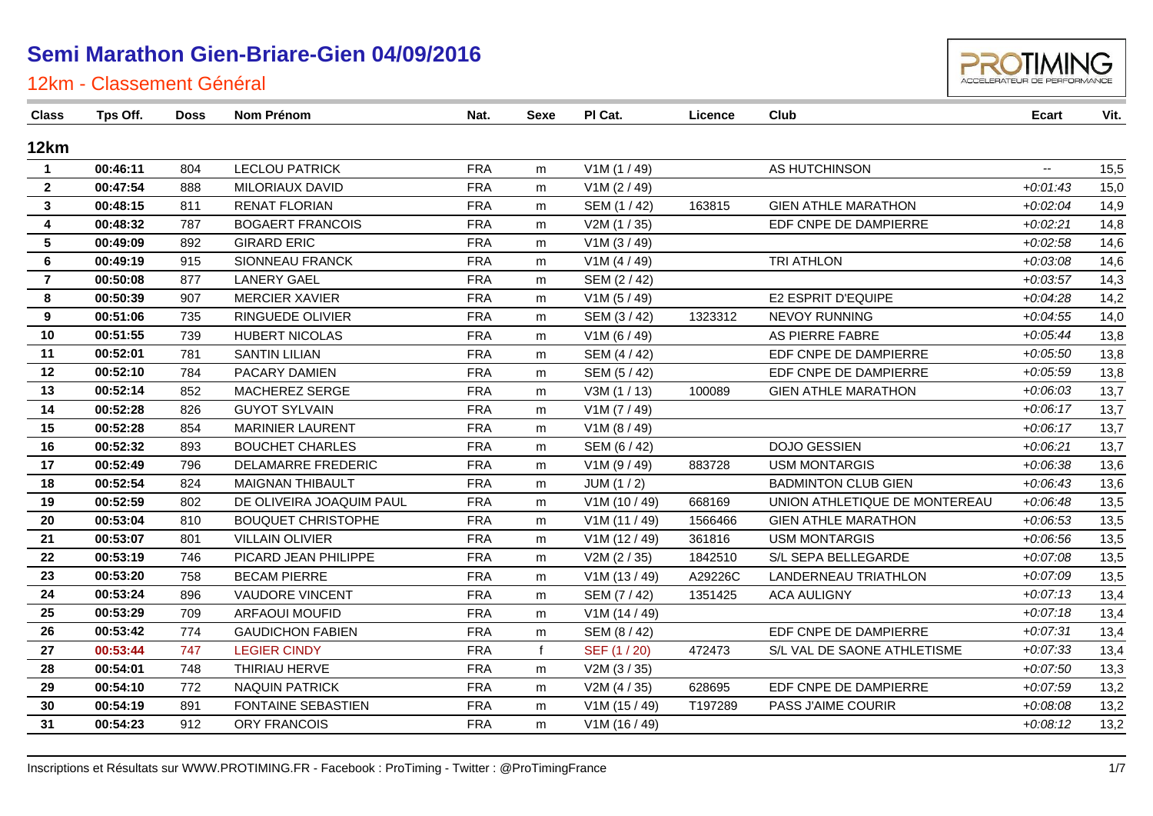

| Class                   | Tps Off. | Doss | Nom Prénom                | Nat.       | Sexe         | PI Cat.       | Licence | Club                          | Ecart                    | Vit. |
|-------------------------|----------|------|---------------------------|------------|--------------|---------------|---------|-------------------------------|--------------------------|------|
| 12km                    |          |      |                           |            |              |               |         |                               |                          |      |
| $\mathbf{1}$            | 00:46:11 | 804  | <b>LECLOU PATRICK</b>     | <b>FRA</b> | m            | V1M(1/49)     |         | AS HUTCHINSON                 | $\overline{\phantom{a}}$ | 15,5 |
| $\overline{2}$          | 00:47:54 | 888  | <b>MILORIAUX DAVID</b>    | <b>FRA</b> | m            | V1M (2 / 49)  |         |                               | $+0.01:43$               | 15,0 |
| $\mathbf{3}$            | 00:48:15 | 811  | <b>RENAT FLORIAN</b>      | <b>FRA</b> | m            | SEM (1 / 42)  | 163815  | <b>GIEN ATHLE MARATHON</b>    | $+0.02:04$               | 14,9 |
| $\overline{\mathbf{4}}$ | 00:48:32 | 787  | <b>BOGAERT FRANCOIS</b>   | <b>FRA</b> | m            | V2M(1/35)     |         | EDF CNPE DE DAMPIERRE         | $+0.02:21$               | 14,8 |
| 5                       | 00:49:09 | 892  | <b>GIRARD ERIC</b>        | <b>FRA</b> | m            | V1M (3 / 49)  |         |                               | $+0.02:58$               | 14,6 |
| 6                       | 00:49:19 | 915  | <b>SIONNEAU FRANCK</b>    | <b>FRA</b> | m            | V1M (4 / 49)  |         | TRI ATHLON                    | $+0.03.08$               | 14,6 |
| $\overline{7}$          | 00:50:08 | 877  | <b>LANERY GAEL</b>        | <b>FRA</b> | m            | SEM (2/42)    |         |                               | $+0.03:57$               | 14,3 |
| 8                       | 00:50:39 | 907  | <b>MERCIER XAVIER</b>     | <b>FRA</b> | m            | V1M (5 / 49)  |         | E2 ESPRIT D'EQUIPE            | $+0.04:28$               | 14,2 |
| 9                       | 00:51:06 | 735  | RINGUEDE OLIVIER          | <b>FRA</b> | m            | SEM (3/42)    | 1323312 | <b>NEVOY RUNNING</b>          | $+0.04:55$               | 14,0 |
| 10                      | 00:51:55 | 739  | <b>HUBERT NICOLAS</b>     | <b>FRA</b> | m            | V1M (6 / 49)  |         | AS PIERRE FABRE               | $+0.05:44$               | 13,8 |
| 11                      | 00:52:01 | 781  | <b>SANTIN LILIAN</b>      | <b>FRA</b> | m            | SEM (4/42)    |         | EDF CNPE DE DAMPIERRE         | $+0.05:50$               | 13,8 |
| 12                      | 00:52:10 | 784  | PACARY DAMIEN             | <b>FRA</b> | m            | SEM (5 / 42)  |         | EDF CNPE DE DAMPIERRE         | $+0.05.59$               | 13,8 |
| 13                      | 00:52:14 | 852  | MACHEREZ SERGE            | <b>FRA</b> | m            | V3M (1 / 13)  | 100089  | <b>GIEN ATHLE MARATHON</b>    | $+0.06:03$               | 13,7 |
| 14                      | 00:52:28 | 826  | <b>GUYOT SYLVAIN</b>      | <b>FRA</b> | m            | V1M (7 / 49)  |         |                               | $+0:06:17$               | 13,7 |
| 15                      | 00:52:28 | 854  | <b>MARINIER LAURENT</b>   | <b>FRA</b> | m            | V1M (8 / 49)  |         |                               | $+0.06:17$               | 13,7 |
| 16                      | 00:52:32 | 893  | <b>BOUCHET CHARLES</b>    | <b>FRA</b> | m            | SEM (6 / 42)  |         | <b>DOJO GESSIEN</b>           | $+0.06:21$               | 13,7 |
| 17                      | 00:52:49 | 796  | <b>DELAMARRE FREDERIC</b> | <b>FRA</b> | m            | V1M (9 / 49)  | 883728  | <b>USM MONTARGIS</b>          | $+0.06.38$               | 13,6 |
| 18                      | 00:52:54 | 824  | <b>MAIGNAN THIBAULT</b>   | <b>FRA</b> | m            | JUM(1/2)      |         | <b>BADMINTON CLUB GIEN</b>    | $+0.06:43$               | 13,6 |
| 19                      | 00:52:59 | 802  | DE OLIVEIRA JOAQUIM PAUL  | <b>FRA</b> | m            | V1M(10/49)    | 668169  | UNION ATHLETIQUE DE MONTEREAU | $+0.06:48$               | 13,5 |
| 20                      | 00:53:04 | 810  | <b>BOUQUET CHRISTOPHE</b> | <b>FRA</b> | m            | V1M(11/49)    | 1566466 | <b>GIEN ATHLE MARATHON</b>    | $+0.06:53$               | 13,5 |
| 21                      | 00:53:07 | 801  | <b>VILLAIN OLIVIER</b>    | <b>FRA</b> | m            | V1M(12/49)    | 361816  | <b>USM MONTARGIS</b>          | $+0.06.56$               | 13,5 |
| 22                      | 00:53:19 | 746  | PICARD JEAN PHILIPPE      | <b>FRA</b> | m            | V2M (2 / 35)  | 1842510 | S/L SEPA BELLEGARDE           | $+0.07.08$               | 13,5 |
| 23                      | 00:53:20 | 758  | <b>BECAM PIERRE</b>       | <b>FRA</b> | m            | V1M(13/49)    | A29226C | LANDERNEAU TRIATHLON          | $+0.07.09$               | 13,5 |
| 24                      | 00:53:24 | 896  | <b>VAUDORE VINCENT</b>    | <b>FRA</b> | m            | SEM (7/42)    | 1351425 | <b>ACA AULIGNY</b>            | $+0.07:13$               | 13,4 |
| 25                      | 00:53:29 | 709  | <b>ARFAOUI MOUFID</b>     | <b>FRA</b> | m            | V1M (14/49)   |         |                               | $+0.07:18$               | 13,4 |
| 26                      | 00:53:42 | 774  | <b>GAUDICHON FABIEN</b>   | <b>FRA</b> | m            | SEM (8 / 42)  |         | EDF CNPE DE DAMPIERRE         | $+0.07.31$               | 13,4 |
| 27                      | 00:53:44 | 747  | <b>LEGIER CINDY</b>       | <b>FRA</b> | $\mathbf{f}$ | SEF (1 / 20)  | 472473  | S/L VAL DE SAONE ATHLETISME   | $+0.07:33$               | 13,4 |
| 28                      | 00:54:01 | 748  | THIRIAU HERVE             | <b>FRA</b> | m            | V2M(3/35)     |         |                               | $+0.07:50$               | 13,3 |
| 29                      | 00:54:10 | 772  | <b>NAQUIN PATRICK</b>     | <b>FRA</b> | m            | V2M (4 / 35)  | 628695  | EDF CNPE DE DAMPIERRE         | $+0.07:59$               | 13,2 |
| 30                      | 00:54:19 | 891  | <b>FONTAINE SEBASTIEN</b> | <b>FRA</b> | m            | V1M (15 / 49) | T197289 | PASS J'AIME COURIR            | $+0.08:08$               | 13,2 |
| 31                      | 00:54:23 | 912  | <b>ORY FRANCOIS</b>       | <b>FRA</b> | m            | V1M(16/49)    |         |                               | $+0.08:12$               | 13,2 |
|                         |          |      |                           |            |              |               |         |                               |                          |      |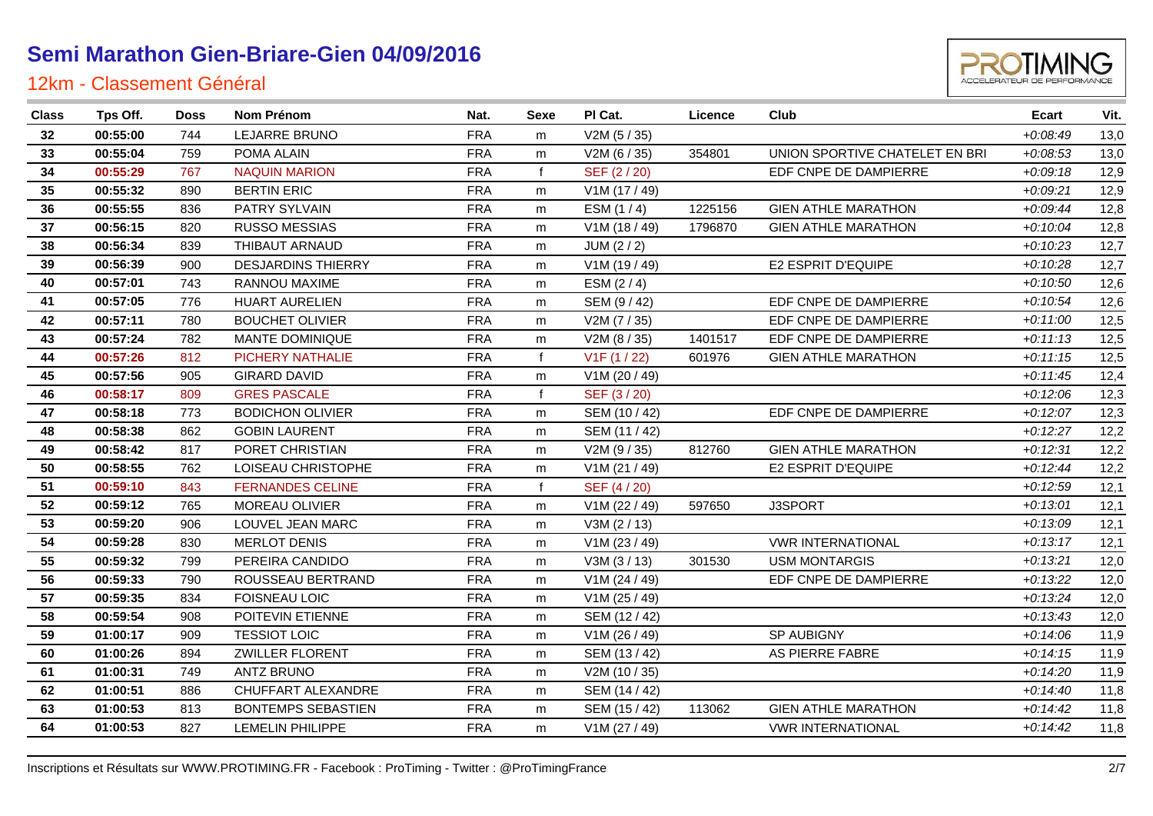

| <b>Class</b> | Tps Off. | <b>Doss</b> | Nom Prénom                | Nat.       | Sexe | PI Cat.       | Licence | Club                           | Ecart      | Vit. |
|--------------|----------|-------------|---------------------------|------------|------|---------------|---------|--------------------------------|------------|------|
| 32           | 00:55:00 | 744         | <b>LEJARRE BRUNO</b>      | <b>FRA</b> | m    | V2M(5/35)     |         |                                | $+0.08:49$ | 13,0 |
| 33           | 00:55:04 | 759         | POMA ALAIN                | <b>FRA</b> | m    | V2M (6 / 35)  | 354801  | UNION SPORTIVE CHATELET EN BRI | $+0.08:53$ | 13,0 |
| 34           | 00:55:29 | 767         | <b>NAQUIN MARION</b>      | <b>FRA</b> |      | SEF (2/20)    |         | EDF CNPE DE DAMPIERRE          | $+0.09:18$ | 12,9 |
| 35           | 00:55:32 | 890         | <b>BERTIN ERIC</b>        | <b>FRA</b> | m    | V1M (17 / 49) |         |                                | $+0.09:21$ | 12,9 |
| 36           | 00:55:55 | 836         | PATRY SYLVAIN             | <b>FRA</b> | m    | ESM $(1/4)$   | 1225156 | <b>GIEN ATHLE MARATHON</b>     | $+0.09:44$ | 12,8 |
| 37           | 00:56:15 | 820         | <b>RUSSO MESSIAS</b>      | <b>FRA</b> | m    | V1M (18 / 49) | 1796870 | <b>GIEN ATHLE MARATHON</b>     | $+0:10:04$ | 12,8 |
| 38           | 00:56:34 | 839         | THIBAUT ARNAUD            | <b>FRA</b> | m    | JUM (2 / 2)   |         |                                | $+0:10:23$ | 12,7 |
| 39           | 00:56:39 | 900         | <b>DESJARDINS THIERRY</b> | <b>FRA</b> | m    | V1M (19 / 49) |         | <b>E2 ESPRIT D'EQUIPE</b>      | $+0.10.28$ | 12,7 |
| 40           | 00:57:01 | 743         | RANNOU MAXIME             | <b>FRA</b> | m    | ESM $(2/4)$   |         |                                | $+0:10:50$ | 12,6 |
| 41           | 00:57:05 | 776         | <b>HUART AURELIEN</b>     | <b>FRA</b> | m    | SEM (9/42)    |         | EDF CNPE DE DAMPIERRE          | $+0:10:54$ | 12,6 |
| 42           | 00:57:11 | 780         | <b>BOUCHET OLIVIER</b>    | <b>FRA</b> | m    | V2M (7 / 35)  |         | EDF CNPE DE DAMPIERRE          | $+0:11:00$ | 12,5 |
| 43           | 00:57:24 | 782         | MANTE DOMINIQUE           | <b>FRA</b> | m    | V2M(8/35)     | 1401517 | EDF CNPE DE DAMPIERRE          | $+0:11:13$ | 12,5 |
| 44           | 00:57:26 | 812         | <b>PICHERY NATHALIE</b>   | <b>FRA</b> |      | V1F(1/22)     | 601976  | <b>GIEN ATHLE MARATHON</b>     | $+0:11:15$ | 12,5 |
| 45           | 00:57:56 | 905         | <b>GIRARD DAVID</b>       | <b>FRA</b> | m    | V1M (20 / 49) |         |                                | $+0:11:45$ | 12,4 |
| 46           | 00:58:17 | 809         | <b>GRES PASCALE</b>       | <b>FRA</b> |      | SEF (3/20)    |         |                                | $+0:12:06$ | 12,3 |
| 47           | 00:58:18 | 773         | <b>BODICHON OLIVIER</b>   | <b>FRA</b> | m    | SEM (10 / 42) |         | EDF CNPE DE DAMPIERRE          | $+0:12:07$ | 12,3 |
| 48           | 00:58:38 | 862         | <b>GOBIN LAURENT</b>      | <b>FRA</b> | m    | SEM (11 / 42) |         |                                | $+0:12:27$ | 12,2 |
| 49           | 00:58:42 | 817         | PORET CHRISTIAN           | <b>FRA</b> | m    | V2M (9/35)    | 812760  | <b>GIEN ATHLE MARATHON</b>     | $+0:12:31$ | 12,2 |
| 50           | 00:58:55 | 762         | LOISEAU CHRISTOPHE        | <b>FRA</b> | m    | V1M (21 / 49) |         | <b>E2 ESPRIT D'EQUIPE</b>      | $+0:12:44$ | 12,2 |
| 51           | 00:59:10 | 843         | <b>FERNANDES CELINE</b>   | <b>FRA</b> |      | SEF (4/20)    |         |                                | $+0:12:59$ | 12,1 |
| 52           | 00:59:12 | 765         | MOREAU OLIVIER            | <b>FRA</b> | m    | V1M (22 / 49) | 597650  | J3SPORT                        | $+0:13:01$ | 12,1 |
| 53           | 00:59:20 | 906         | LOUVEL JEAN MARC          | <b>FRA</b> | m    | V3M (2 / 13)  |         |                                | $+0.13.09$ | 12,1 |
| 54           | 00:59:28 | 830         | <b>MERLOT DENIS</b>       | <b>FRA</b> | m    | V1M (23 / 49) |         | <b>VWR INTERNATIONAL</b>       | $+0:13:17$ | 12,1 |
| 55           | 00:59:32 | 799         | PEREIRA CANDIDO           | <b>FRA</b> | m    | V3M (3 / 13)  | 301530  | <b>USM MONTARGIS</b>           | $+0:13:21$ | 12,0 |
| 56           | 00:59:33 | 790         | ROUSSEAU BERTRAND         | <b>FRA</b> | m    | V1M (24 / 49) |         | EDF CNPE DE DAMPIERRE          | $+0:13:22$ | 12,0 |
| 57           | 00:59:35 | 834         | <b>FOISNEAU LOIC</b>      | <b>FRA</b> | m    | V1M (25 / 49) |         |                                | $+0:13:24$ | 12,0 |
| 58           | 00:59:54 | 908         | POITEVIN ETIENNE          | <b>FRA</b> | m    | SEM (12 / 42) |         |                                | $+0:13:43$ | 12,0 |
| 59           | 01:00:17 | 909         | <b>TESSIOT LOIC</b>       | <b>FRA</b> | m    | V1M (26 / 49) |         | SP AUBIGNY                     | $+0:14:06$ | 11,9 |
| 60           | 01:00:26 | 894         | <b>ZWILLER FLORENT</b>    | <b>FRA</b> | m    | SEM (13 / 42) |         | AS PIERRE FABRE                | $+0:14:15$ | 11,9 |
| 61           | 01:00:31 | 749         | <b>ANTZ BRUNO</b>         | <b>FRA</b> | m    | V2M (10 / 35) |         |                                | $+0:14:20$ | 11,9 |
| 62           | 01:00:51 | 886         | CHUFFART ALEXANDRE        | <b>FRA</b> | m    | SEM (14 / 42) |         |                                | $+0:14:40$ | 11,8 |
| 63           | 01:00:53 | 813         | <b>BONTEMPS SEBASTIEN</b> | <b>FRA</b> | m    | SEM (15 / 42) | 113062  | <b>GIEN ATHLE MARATHON</b>     | $+0:14:42$ | 11,8 |
| 64           | 01:00:53 | 827         | <b>LEMELIN PHILIPPE</b>   | <b>FRA</b> | m    | V1M (27 / 49) |         | <b>VWR INTERNATIONAL</b>       | $+0.14:42$ | 11,8 |
|              |          |             |                           |            |      |               |         |                                |            |      |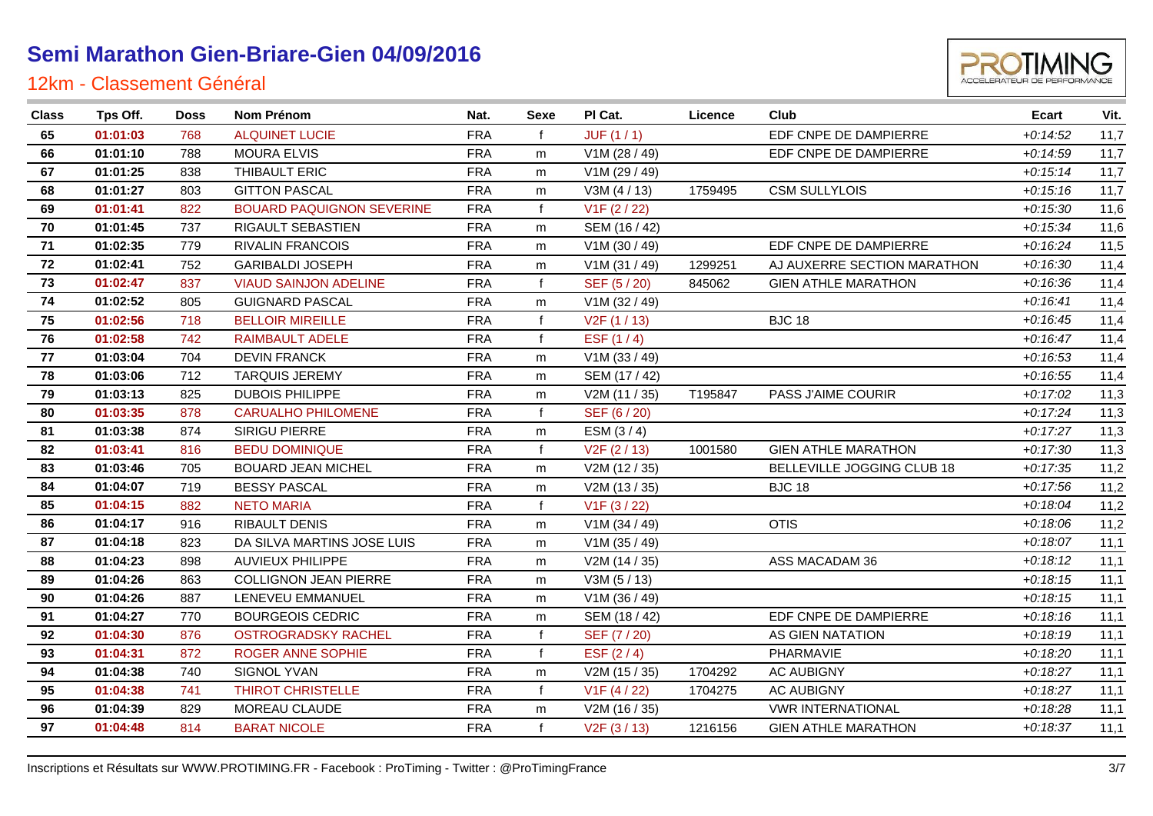

| <b>Class</b> | Tps Off. | <b>Doss</b> | Nom Prénom                       | Nat.       | Sexe         | PI Cat.                   | Licence | Club                        | Ecart      | Vit. |
|--------------|----------|-------------|----------------------------------|------------|--------------|---------------------------|---------|-----------------------------|------------|------|
| 65           | 01:01:03 | 768         | <b>ALQUINET LUCIE</b>            | <b>FRA</b> | f            | JUF(1/1)                  |         | EDF CNPE DE DAMPIERRE       | $+0:14:52$ | 11,7 |
| 66           | 01:01:10 | 788         | <b>MOURA ELVIS</b>               | <b>FRA</b> | m            | V1M (28 / 49)             |         | EDF CNPE DE DAMPIERRE       | $+0.14.59$ | 11,7 |
| 67           | 01:01:25 | 838         | THIBAULT ERIC                    | <b>FRA</b> | m            | V1M (29 / 49)             |         |                             | $+0:15:14$ | 11,7 |
| 68           | 01:01:27 | 803         | <b>GITTON PASCAL</b>             | <b>FRA</b> | m            | V3M (4 / 13)              | 1759495 | <b>CSM SULLYLOIS</b>        | $+0:15:16$ | 11,7 |
| 69           | 01:01:41 | 822         | <b>BOUARD PAQUIGNON SEVERINE</b> | <b>FRA</b> | f            | V1F(2/22)                 |         |                             | $+0.15.30$ | 11,6 |
| 70           | 01:01:45 | 737         | RIGAULT SEBASTIEN                | <b>FRA</b> | m            | SEM (16 / 42)             |         |                             | $+0.15.34$ | 11,6 |
| 71           | 01:02:35 | 779         | <b>RIVALIN FRANCOIS</b>          | <b>FRA</b> | m            | V1M (30 / 49)             |         | EDF CNPE DE DAMPIERRE       | $+0.16:24$ | 11,5 |
| 72           | 01:02:41 | 752         | <b>GARIBALDI JOSEPH</b>          | <b>FRA</b> | m            | V1M(31/49)                | 1299251 | AJ AUXERRE SECTION MARATHON | $+0.16.30$ | 11,4 |
| 73           | 01:02:47 | 837         | <b>VIAUD SAINJON ADELINE</b>     | <b>FRA</b> | f            | SEF (5/20)                | 845062  | <b>GIEN ATHLE MARATHON</b>  | $+0.16.36$ | 11,4 |
| 74           | 01:02:52 | 805         | <b>GUIGNARD PASCAL</b>           | <b>FRA</b> | m            | V1M (32 / 49)             |         |                             | $+0.16:41$ | 11,4 |
| 75           | 01:02:56 | 718         | <b>BELLOIR MIREILLE</b>          | <b>FRA</b> | f            | V2F(1/13)                 |         | <b>BJC 18</b>               | $+0.16:45$ | 11,4 |
| 76           | 01:02:58 | 742         | <b>RAIMBAULT ADELE</b>           | <b>FRA</b> | $\mathsf{f}$ | ESF $(1/4)$               |         |                             | $+0:16:47$ | 11,4 |
| 77           | 01:03:04 | 704         | <b>DEVIN FRANCK</b>              | <b>FRA</b> | m            | V1M (33 / 49)             |         |                             | $+0.16:53$ | 11,4 |
| 78           | 01:03:06 | 712         | <b>TARQUIS JEREMY</b>            | <b>FRA</b> | m            | SEM (17 / 42)             |         |                             | $+0.16.55$ | 11,4 |
| 79           | 01:03:13 | 825         | <b>DUBOIS PHILIPPE</b>           | <b>FRA</b> | m            | V2M (11 / 35)             | T195847 | PASS J'AIME COURIR          | $+0.17:02$ | 11,3 |
| 80           | 01:03:35 | 878         | <b>CARUALHO PHILOMENE</b>        | <b>FRA</b> | f            | SEF (6 / 20)              |         |                             | $+0:17:24$ | 11,3 |
| 81           | 01:03:38 | 874         | SIRIGU PIERRE                    | <b>FRA</b> | m            | ESM $(3/4)$               |         |                             | $+0:17:27$ | 11,3 |
| 82           | 01:03:41 | 816         | <b>BEDU DOMINIQUE</b>            | <b>FRA</b> | f            | V <sub>2</sub> F (2 / 13) | 1001580 | <b>GIEN ATHLE MARATHON</b>  | $+0:17:30$ | 11,3 |
| 83           | 01:03:46 | 705         | <b>BOUARD JEAN MICHEL</b>        | <b>FRA</b> | m            | V2M (12 / 35)             |         | BELLEVILLE JOGGING CLUB 18  | $+0:17:35$ | 11,2 |
| 84           | 01:04:07 | 719         | <b>BESSY PASCAL</b>              | <b>FRA</b> | m            | V2M (13 / 35)             |         | <b>BJC 18</b>               | $+0:17:56$ | 11,2 |
| 85           | 01:04:15 | 882         | <b>NETO MARIA</b>                | <b>FRA</b> | f            | V <sub>1</sub> F (3 / 22) |         |                             | $+0:18:04$ | 11,2 |
| 86           | 01:04:17 | 916         | RIBAULT DENIS                    | <b>FRA</b> | m            | V1M (34 / 49)             |         | <b>OTIS</b>                 | $+0.18.06$ | 11,2 |
| 87           | 01:04:18 | 823         | DA SILVA MARTINS JOSE LUIS       | <b>FRA</b> | m            | V1M(35/49)                |         |                             | $+0:18:07$ | 11,1 |
| 88           | 01:04:23 | 898         | <b>AUVIEUX PHILIPPE</b>          | <b>FRA</b> | m            | V2M (14 / 35)             |         | ASS MACADAM 36              | $+0:18:12$ | 11,1 |
| 89           | 01:04:26 | 863         | <b>COLLIGNON JEAN PIERRE</b>     | <b>FRA</b> | m            | V3M(5/13)                 |         |                             | $+0.18:15$ | 11,1 |
| 90           | 01:04:26 | 887         | LENEVEU EMMANUEL                 | <b>FRA</b> | m            | V1M (36 / 49)             |         |                             | $+0.18:15$ | 11,1 |
| 91           | 01:04:27 | 770         | <b>BOURGEOIS CEDRIC</b>          | <b>FRA</b> | m            | SEM (18 / 42)             |         | EDF CNPE DE DAMPIERRE       | $+0:18:16$ | 11,1 |
| 92           | 01:04:30 | 876         | <b>OSTROGRADSKY RACHEL</b>       | <b>FRA</b> | f            | SEF (7 / 20)              |         | AS GIEN NATATION            | $+0.18.19$ | 11,1 |
| 93           | 01:04:31 | 872         | <b>ROGER ANNE SOPHIE</b>         | <b>FRA</b> | f            | ESF $(2/4)$               |         | PHARMAVIE                   | $+0.18:20$ | 11,1 |
| 94           | 01:04:38 | 740         | SIGNOL YVAN                      | <b>FRA</b> | m            | V2M (15 / 35)             | 1704292 | <b>AC AUBIGNY</b>           | $+0.18.27$ | 11,1 |
| 95           | 01:04:38 | 741         | <b>THIROT CHRISTELLE</b>         | <b>FRA</b> | $\mathsf{f}$ | V1F(4/22)                 | 1704275 | <b>AC AUBIGNY</b>           | $+0.18:27$ | 11,1 |
| 96           | 01:04:39 | 829         | MOREAU CLAUDE                    | <b>FRA</b> | m            | V2M (16 / 35)             |         | <b>VWR INTERNATIONAL</b>    | $+0.18.28$ | 11,1 |
| 97           | 01:04:48 | 814         | <b>BARAT NICOLE</b>              | <b>FRA</b> | $\mathsf{f}$ | V <sub>2</sub> F (3 / 13) | 1216156 | <b>GIEN ATHLE MARATHON</b>  | $+0:18:37$ | 11,1 |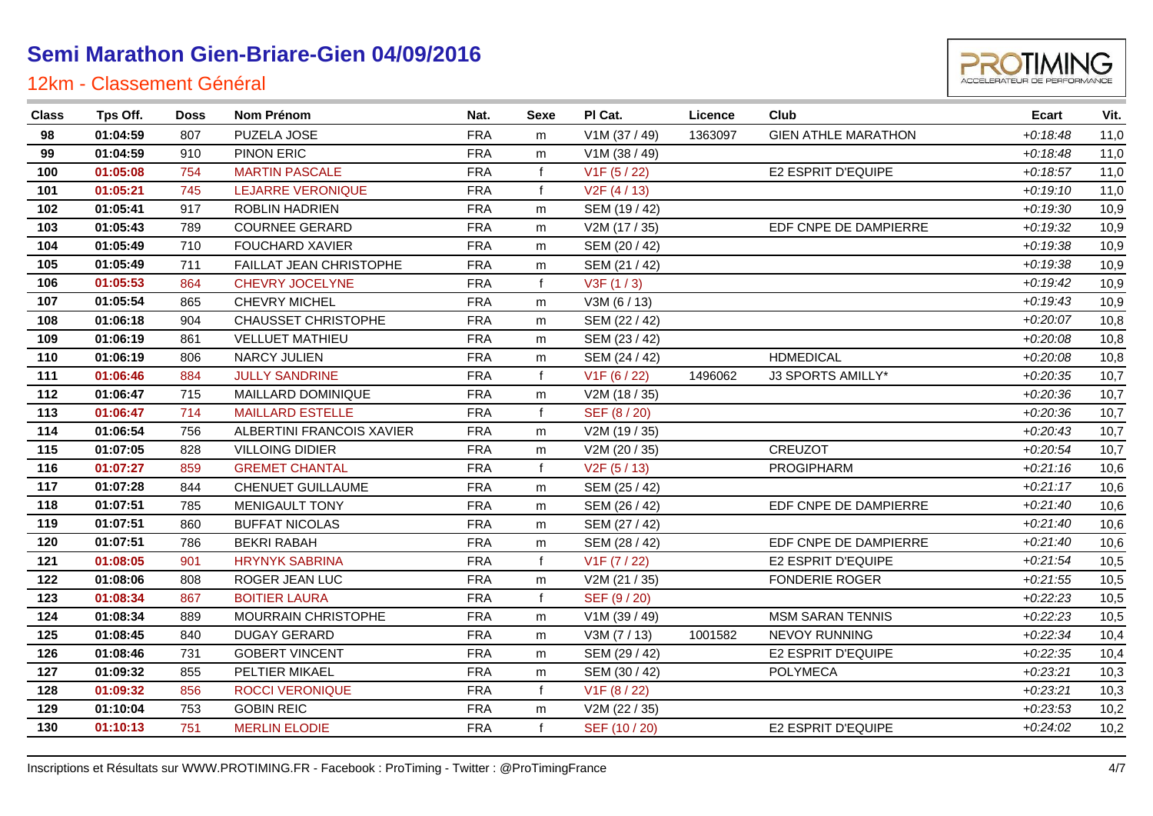

| <b>Class</b> | Tps Off. | <b>Doss</b> | Nom Prénom                | Nat.       | Sexe         | PI Cat.                   | Licence | Club                       | <b>Ecart</b> | Vit. |
|--------------|----------|-------------|---------------------------|------------|--------------|---------------------------|---------|----------------------------|--------------|------|
| 98           | 01:04:59 | 807         | PUZELA JOSE               | <b>FRA</b> | m            | V1M (37 / 49)             | 1363097 | <b>GIEN ATHLE MARATHON</b> | $+0.18:48$   | 11,0 |
| 99           | 01:04:59 | 910         | PINON ERIC                | <b>FRA</b> | m            | V1M (38 / 49)             |         |                            | $+0.18:48$   | 11,0 |
| 100          | 01:05:08 | 754         | <b>MARTIN PASCALE</b>     | <b>FRA</b> |              | V1F(5/22)                 |         | E2 ESPRIT D'EQUIPE         | $+0.18.57$   | 11,0 |
| 101          | 01:05:21 | 745         | <b>LEJARRE VERONIQUE</b>  | <b>FRA</b> |              | V2F(4/13)                 |         |                            | $+0:19:10$   | 11,0 |
| 102          | 01:05:41 | 917         | ROBLIN HADRIEN            | <b>FRA</b> | m            | SEM (19 / 42)             |         |                            | $+0.19.30$   | 10,9 |
| 103          | 01:05:43 | 789         | <b>COURNEE GERARD</b>     | <b>FRA</b> | m            | V2M (17 / 35)             |         | EDF CNPE DE DAMPIERRE      | $+0:19:32$   | 10,9 |
| 104          | 01:05:49 | 710         | <b>FOUCHARD XAVIER</b>    | <b>FRA</b> | m            | SEM (20 / 42)             |         |                            | $+0.19.38$   | 10,9 |
| 105          | 01:05:49 | 711         | FAILLAT JEAN CHRISTOPHE   | <b>FRA</b> | m            | SEM (21 / 42)             |         |                            | $+0.19.38$   | 10,9 |
| 106          | 01:05:53 | 864         | CHEVRY JOCELYNE           | <b>FRA</b> |              | V3F(1/3)                  |         |                            | $+0:19:42$   | 10,9 |
| 107          | 01:05:54 | 865         | CHEVRY MICHEL             | <b>FRA</b> | m            | V3M (6 / 13)              |         |                            | $+0.19:43$   | 10,9 |
| 108          | 01:06:18 | 904         | CHAUSSET CHRISTOPHE       | <b>FRA</b> | m            | SEM (22 / 42)             |         |                            | $+0.20:07$   | 10,8 |
| 109          | 01:06:19 | 861         | <b>VELLUET MATHIEU</b>    | <b>FRA</b> | m            | SEM (23 / 42)             |         |                            | $+0.20.08$   | 10,8 |
| 110          | 01:06:19 | 806         | <b>NARCY JULIEN</b>       | <b>FRA</b> | m            | SEM (24 / 42)             |         | <b>HDMEDICAL</b>           | $+0.20:08$   | 10,8 |
| 111          | 01:06:46 | 884         | <b>JULLY SANDRINE</b>     | <b>FRA</b> |              | V <sub>1</sub> F (6 / 22) | 1496062 | J3 SPORTS AMILLY*          | $+0.20.35$   | 10,7 |
| 112          | 01:06:47 | 715         | MAILLARD DOMINIQUE        | <b>FRA</b> | m            | V2M (18 / 35)             |         |                            | $+0.20.36$   | 10,7 |
| 113          | 01:06:47 | 714         | <b>MAILLARD ESTELLE</b>   | <b>FRA</b> | f            | SEF (8/20)                |         |                            | $+0.20.36$   | 10,7 |
| 114          | 01:06:54 | 756         | ALBERTINI FRANCOIS XAVIER | <b>FRA</b> | m            | V2M (19 / 35)             |         |                            | $+0.20:43$   | 10,7 |
| 115          | 01:07:05 | 828         | <b>VILLOING DIDIER</b>    | <b>FRA</b> | m            | V2M (20 / 35)             |         | <b>CREUZOT</b>             | $+0.20.54$   | 10,7 |
| 116          | 01:07:27 | 859         | <b>GREMET CHANTAL</b>     | <b>FRA</b> | $\mathbf{f}$ | V <sub>2</sub> F (5 / 13) |         | <b>PROGIPHARM</b>          | $+0.21:16$   | 10,6 |
| 117          | 01:07:28 | 844         | CHENUET GUILLAUME         | <b>FRA</b> | m            | SEM (25 / 42)             |         |                            | $+0.21:17$   | 10,6 |
| 118          | 01:07:51 | 785         | MENIGAULT TONY            | <b>FRA</b> | m            | SEM (26 / 42)             |         | EDF CNPE DE DAMPIERRE      | $+0.21:40$   | 10,6 |
| 119          | 01:07:51 | 860         | <b>BUFFAT NICOLAS</b>     | <b>FRA</b> | m            | SEM (27 / 42)             |         |                            | $+0.21:40$   | 10,6 |
| 120          | 01:07:51 | 786         | <b>BEKRI RABAH</b>        | <b>FRA</b> | m            | SEM (28 / 42)             |         | EDF CNPE DE DAMPIERRE      | $+0.21:40$   | 10,6 |
| 121          | 01:08:05 | 901         | <b>HRYNYK SABRINA</b>     | <b>FRA</b> | f            | V1F (7 / 22)              |         | E2 ESPRIT D'EQUIPE         | $+0.21:54$   | 10,5 |
| 122          | 01:08:06 | 808         | ROGER JEAN LUC            | <b>FRA</b> | m            | V2M (21 / 35)             |         | <b>FONDERIE ROGER</b>      | $+0.21.55$   | 10,5 |
| 123          | 01:08:34 | 867         | <b>BOITIER LAURA</b>      | <b>FRA</b> |              | SEF (9/20)                |         |                            | $+0:22:23$   | 10,5 |
| 124          | 01:08:34 | 889         | MOURRAIN CHRISTOPHE       | <b>FRA</b> | m            | V1M (39 / 49)             |         | <b>MSM SARAN TENNIS</b>    | $+0.22.23$   | 10,5 |
| 125          | 01:08:45 | 840         | <b>DUGAY GERARD</b>       | <b>FRA</b> | m            | V3M (7 / 13)              | 1001582 | <b>NEVOY RUNNING</b>       | $+0.22:34$   | 10,4 |
| 126          | 01:08:46 | 731         | <b>GOBERT VINCENT</b>     | <b>FRA</b> | m            | SEM (29 / 42)             |         | E2 ESPRIT D'EQUIPE         | $+0.22:35$   | 10,4 |
| 127          | 01:09:32 | 855         | PELTIER MIKAEL            | <b>FRA</b> | m            | SEM (30 / 42)             |         | <b>POLYMECA</b>            | $+0.23.21$   | 10,3 |
| 128          | 01:09:32 | 856         | <b>ROCCI VERONIQUE</b>    | <b>FRA</b> |              | V <sub>1</sub> F (8 / 22) |         |                            | $+0:23:21$   | 10,3 |
| 129          | 01:10:04 | 753         | <b>GOBIN REIC</b>         | <b>FRA</b> | m            | V2M (22 / 35)             |         |                            | $+0.23.53$   | 10,2 |
| 130          | 01:10:13 | 751         | <b>MERLIN ELODIE</b>      | <b>FRA</b> |              | SEF (10 / 20)             |         | E2 ESPRIT D'EQUIPE         | $+0.24:02$   | 10,2 |
|              |          |             |                           |            |              |                           |         |                            |              |      |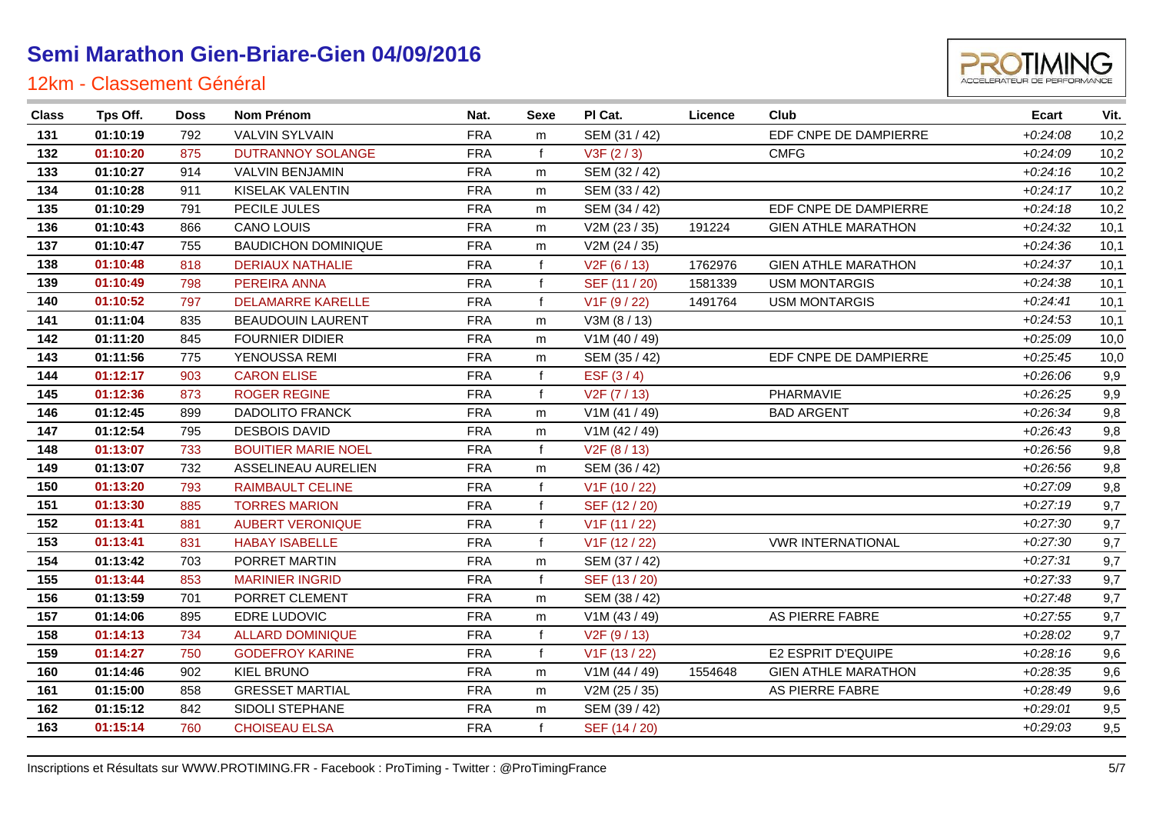

| 131<br>01:10:19<br><b>FRA</b><br>EDF CNPE DE DAMPIERRE<br>$+0.24.08$<br><b>VALVIN SYLVAIN</b><br>SEM (31 / 42)<br>792<br>m<br>132<br>01:10:20<br>875<br><b>DUTRANNOY SOLANGE</b><br><b>FRA</b><br>V3F(2/3)<br><b>CMFG</b><br>$+0.24:09$<br>133<br>01:10:27<br><b>VALVIN BENJAMIN</b><br><b>FRA</b><br>$+0.24:16$<br>914<br>SEM (32 / 42)<br>m<br>01:10:28<br><b>FRA</b><br>$+0.24:17$<br>134<br>KISELAK VALENTIN<br>SEM (33 / 42)<br>911<br>m<br>EDF CNPE DE DAMPIERRE<br>135<br>01:10:29<br>PECILE JULES<br><b>FRA</b><br>SEM (34 / 42)<br>791<br>$+0.24:18$<br>m<br><b>CANO LOUIS</b><br><b>FRA</b><br><b>GIEN ATHLE MARATHON</b><br>136<br>01:10:43<br>866<br>V2M (23 / 35)<br>191224<br>$+0.24.32$<br>m<br><b>BAUDICHON DOMINIQUE</b><br><b>FRA</b><br>137<br>01:10:47<br>V2M (24 / 35)<br>755<br>$+0.24.36$<br>m<br>01:10:48<br>818<br><b>DERIAUX NATHALIE</b><br><b>FRA</b><br><b>GIEN ATHLE MARATHON</b><br>138<br>V2F(6/13)<br>1762976<br>$+0.24.37$<br><b>FRA</b><br>PEREIRA ANNA<br>139<br>01:10:49<br>798<br>SEF (11 / 20)<br>1581339<br><b>USM MONTARGIS</b><br>$+0.24.38$<br>01:10:52<br><b>FRA</b><br>140<br>797<br><b>DELAMARRE KARELLE</b><br>V <sub>1</sub> F (9 / 22)<br>1491764<br><b>USM MONTARGIS</b><br>$+0.24:41$<br>01:11:04<br><b>FRA</b><br>141<br>835<br><b>BEAUDOUIN LAURENT</b><br>V3M (8 / 13)<br>$+0.24.53$<br>m<br><b>FOURNIER DIDIER</b><br><b>FRA</b><br>142<br>01:11:20<br>845<br>V1M (40 / 49)<br>$+0.25.09$<br>m | Vit. |
|-------------------------------------------------------------------------------------------------------------------------------------------------------------------------------------------------------------------------------------------------------------------------------------------------------------------------------------------------------------------------------------------------------------------------------------------------------------------------------------------------------------------------------------------------------------------------------------------------------------------------------------------------------------------------------------------------------------------------------------------------------------------------------------------------------------------------------------------------------------------------------------------------------------------------------------------------------------------------------------------------------------------------------------------------------------------------------------------------------------------------------------------------------------------------------------------------------------------------------------------------------------------------------------------------------------------------------------------------------------------------------------------------------------------------------------------------------|------|
|                                                                                                                                                                                                                                                                                                                                                                                                                                                                                                                                                                                                                                                                                                                                                                                                                                                                                                                                                                                                                                                                                                                                                                                                                                                                                                                                                                                                                                                       | 10,2 |
|                                                                                                                                                                                                                                                                                                                                                                                                                                                                                                                                                                                                                                                                                                                                                                                                                                                                                                                                                                                                                                                                                                                                                                                                                                                                                                                                                                                                                                                       | 10,2 |
|                                                                                                                                                                                                                                                                                                                                                                                                                                                                                                                                                                                                                                                                                                                                                                                                                                                                                                                                                                                                                                                                                                                                                                                                                                                                                                                                                                                                                                                       | 10,2 |
|                                                                                                                                                                                                                                                                                                                                                                                                                                                                                                                                                                                                                                                                                                                                                                                                                                                                                                                                                                                                                                                                                                                                                                                                                                                                                                                                                                                                                                                       | 10,2 |
|                                                                                                                                                                                                                                                                                                                                                                                                                                                                                                                                                                                                                                                                                                                                                                                                                                                                                                                                                                                                                                                                                                                                                                                                                                                                                                                                                                                                                                                       | 10,2 |
|                                                                                                                                                                                                                                                                                                                                                                                                                                                                                                                                                                                                                                                                                                                                                                                                                                                                                                                                                                                                                                                                                                                                                                                                                                                                                                                                                                                                                                                       | 10,1 |
|                                                                                                                                                                                                                                                                                                                                                                                                                                                                                                                                                                                                                                                                                                                                                                                                                                                                                                                                                                                                                                                                                                                                                                                                                                                                                                                                                                                                                                                       | 10,1 |
|                                                                                                                                                                                                                                                                                                                                                                                                                                                                                                                                                                                                                                                                                                                                                                                                                                                                                                                                                                                                                                                                                                                                                                                                                                                                                                                                                                                                                                                       | 10,1 |
|                                                                                                                                                                                                                                                                                                                                                                                                                                                                                                                                                                                                                                                                                                                                                                                                                                                                                                                                                                                                                                                                                                                                                                                                                                                                                                                                                                                                                                                       | 10,1 |
|                                                                                                                                                                                                                                                                                                                                                                                                                                                                                                                                                                                                                                                                                                                                                                                                                                                                                                                                                                                                                                                                                                                                                                                                                                                                                                                                                                                                                                                       | 10,1 |
|                                                                                                                                                                                                                                                                                                                                                                                                                                                                                                                                                                                                                                                                                                                                                                                                                                                                                                                                                                                                                                                                                                                                                                                                                                                                                                                                                                                                                                                       | 10,1 |
|                                                                                                                                                                                                                                                                                                                                                                                                                                                                                                                                                                                                                                                                                                                                                                                                                                                                                                                                                                                                                                                                                                                                                                                                                                                                                                                                                                                                                                                       | 10,0 |
| YENOUSSA REMI<br><b>FRA</b><br>EDF CNPE DE DAMPIERRE<br>143<br>01:11:56<br>775<br>SEM (35 / 42)<br>$+0.25:45$<br>m                                                                                                                                                                                                                                                                                                                                                                                                                                                                                                                                                                                                                                                                                                                                                                                                                                                                                                                                                                                                                                                                                                                                                                                                                                                                                                                                    | 10,0 |
| 01:12:17<br>903<br><b>CARON ELISE</b><br><b>FRA</b><br>ESF (3/4)<br>144<br>$+0.26:06$                                                                                                                                                                                                                                                                                                                                                                                                                                                                                                                                                                                                                                                                                                                                                                                                                                                                                                                                                                                                                                                                                                                                                                                                                                                                                                                                                                 | 9,9  |
| 145<br>01:12:36<br><b>FRA</b><br>PHARMAVIE<br><b>ROGER REGINE</b><br>$+0.26.25$<br>873<br>V <sub>2</sub> F (7 / 13)                                                                                                                                                                                                                                                                                                                                                                                                                                                                                                                                                                                                                                                                                                                                                                                                                                                                                                                                                                                                                                                                                                                                                                                                                                                                                                                                   | 9,9  |
| 146<br>01:12:45<br><b>FRA</b><br><b>DADOLITO FRANCK</b><br><b>BAD ARGENT</b><br>$+0.26.34$<br>899<br>V1M (41 / 49)<br>m                                                                                                                                                                                                                                                                                                                                                                                                                                                                                                                                                                                                                                                                                                                                                                                                                                                                                                                                                                                                                                                                                                                                                                                                                                                                                                                               | 9,8  |
| 147<br>01:12:54<br><b>FRA</b><br><b>DESBOIS DAVID</b><br>V1M (42 / 49)<br>$+0.26:43$<br>795<br>m                                                                                                                                                                                                                                                                                                                                                                                                                                                                                                                                                                                                                                                                                                                                                                                                                                                                                                                                                                                                                                                                                                                                                                                                                                                                                                                                                      | 9,8  |
| 148<br>01:13:07<br><b>BOUITIER MARIE NOEL</b><br><b>FRA</b><br>$+0.26:56$<br>733<br>V2F (8 / 13)<br>f                                                                                                                                                                                                                                                                                                                                                                                                                                                                                                                                                                                                                                                                                                                                                                                                                                                                                                                                                                                                                                                                                                                                                                                                                                                                                                                                                 | 9,8  |
| 149<br>01:13:07<br>ASSELINEAU AURELIEN<br><b>FRA</b><br>$+0.26.56$<br>732<br>SEM (36 / 42)<br>m                                                                                                                                                                                                                                                                                                                                                                                                                                                                                                                                                                                                                                                                                                                                                                                                                                                                                                                                                                                                                                                                                                                                                                                                                                                                                                                                                       | 9,8  |
| 01:13:20<br>150<br><b>FRA</b><br>$+0.27:09$<br>793<br><b>RAIMBAULT CELINE</b><br>V1F (10 / 22)                                                                                                                                                                                                                                                                                                                                                                                                                                                                                                                                                                                                                                                                                                                                                                                                                                                                                                                                                                                                                                                                                                                                                                                                                                                                                                                                                        | 9,8  |
| 151<br>01:13:30<br><b>FRA</b><br>$+0.27:19$<br>885<br><b>TORRES MARION</b><br>SEF (12/20)                                                                                                                                                                                                                                                                                                                                                                                                                                                                                                                                                                                                                                                                                                                                                                                                                                                                                                                                                                                                                                                                                                                                                                                                                                                                                                                                                             | 9,7  |
| 01:13:41<br>152<br><b>FRA</b><br>$+0.27:30$<br>881<br><b>AUBERT VERONIQUE</b><br>V1F (11 / 22)                                                                                                                                                                                                                                                                                                                                                                                                                                                                                                                                                                                                                                                                                                                                                                                                                                                                                                                                                                                                                                                                                                                                                                                                                                                                                                                                                        | 9,7  |
| 01:13:41<br>153<br><b>HABAY ISABELLE</b><br><b>FRA</b><br><b>VWR INTERNATIONAL</b><br>$+0.27:30$<br>831<br>V1F (12 / 22)                                                                                                                                                                                                                                                                                                                                                                                                                                                                                                                                                                                                                                                                                                                                                                                                                                                                                                                                                                                                                                                                                                                                                                                                                                                                                                                              | 9,7  |
| 154<br>PORRET MARTIN<br><b>FRA</b><br>$+0.27:31$<br>01:13:42<br>703<br>SEM (37 / 42)<br>m                                                                                                                                                                                                                                                                                                                                                                                                                                                                                                                                                                                                                                                                                                                                                                                                                                                                                                                                                                                                                                                                                                                                                                                                                                                                                                                                                             | 9,7  |
| 01:13:44<br><b>MARINIER INGRID</b><br><b>FRA</b><br>SEF (13/20)<br>$+0.27:33$<br>155<br>853<br>f                                                                                                                                                                                                                                                                                                                                                                                                                                                                                                                                                                                                                                                                                                                                                                                                                                                                                                                                                                                                                                                                                                                                                                                                                                                                                                                                                      | 9,7  |
| 01:13:59<br>701<br>PORRET CLEMENT<br><b>FRA</b><br>$+0.27:48$<br>156<br>SEM (38 / 42)<br>m                                                                                                                                                                                                                                                                                                                                                                                                                                                                                                                                                                                                                                                                                                                                                                                                                                                                                                                                                                                                                                                                                                                                                                                                                                                                                                                                                            | 9,7  |
| <b>FRA</b><br>157<br>01:14:06<br>895<br>AS PIERRE FABRE<br><b>EDRE LUDOVIC</b><br>V1M (43 / 49)<br>$+0.27:55$<br>m                                                                                                                                                                                                                                                                                                                                                                                                                                                                                                                                                                                                                                                                                                                                                                                                                                                                                                                                                                                                                                                                                                                                                                                                                                                                                                                                    | 9,7  |
| 158<br>01:14:13<br>734<br><b>FRA</b><br>$+0.28:02$<br><b>ALLARD DOMINIQUE</b><br>V <sub>2</sub> F (9 / 13)                                                                                                                                                                                                                                                                                                                                                                                                                                                                                                                                                                                                                                                                                                                                                                                                                                                                                                                                                                                                                                                                                                                                                                                                                                                                                                                                            | 9,7  |
| E2 ESPRIT D'EQUIPE<br>01:14:27<br><b>GODEFROY KARINE</b><br><b>FRA</b><br>V1F (13 / 22)<br>159<br>750<br>$+0.28:16$                                                                                                                                                                                                                                                                                                                                                                                                                                                                                                                                                                                                                                                                                                                                                                                                                                                                                                                                                                                                                                                                                                                                                                                                                                                                                                                                   | 9,6  |
| <b>KIEL BRUNO</b><br><b>FRA</b><br><b>GIEN ATHLE MARATHON</b><br>01:14:46<br>V1M (44 / 49)<br>160<br>902<br>1554648<br>$+0.28.35$<br>m                                                                                                                                                                                                                                                                                                                                                                                                                                                                                                                                                                                                                                                                                                                                                                                                                                                                                                                                                                                                                                                                                                                                                                                                                                                                                                                | 9,6  |
| <b>GRESSET MARTIAL</b><br><b>FRA</b><br>01:15:00<br>V2M (25 / 35)<br>AS PIERRE FABRE<br>$+0.28:49$<br>161<br>858<br>m                                                                                                                                                                                                                                                                                                                                                                                                                                                                                                                                                                                                                                                                                                                                                                                                                                                                                                                                                                                                                                                                                                                                                                                                                                                                                                                                 | 9,6  |
| 01:15:12<br>SIDOLI STEPHANE<br><b>FRA</b><br>162<br>842<br>SEM (39 / 42)<br>$+0.29:01$<br>m                                                                                                                                                                                                                                                                                                                                                                                                                                                                                                                                                                                                                                                                                                                                                                                                                                                                                                                                                                                                                                                                                                                                                                                                                                                                                                                                                           | 9,5  |
| 01:15:14<br>760<br><b>CHOISEAU ELSA</b><br><b>FRA</b><br>163<br>SEF (14 / 20)<br>$+0.29:03$                                                                                                                                                                                                                                                                                                                                                                                                                                                                                                                                                                                                                                                                                                                                                                                                                                                                                                                                                                                                                                                                                                                                                                                                                                                                                                                                                           | 9,5  |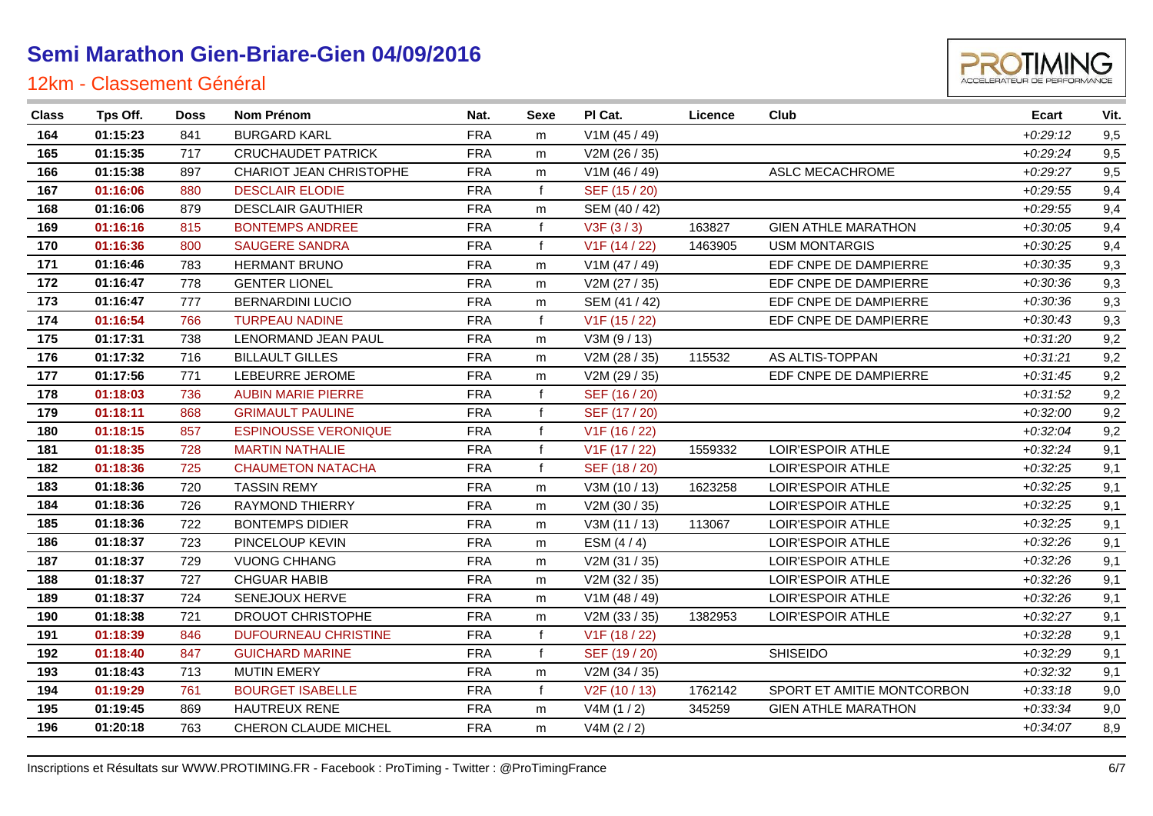

| $+0.29:12$<br>164<br>01:15:23<br><b>BURGARD KARL</b><br><b>FRA</b><br>V1M (45 / 49)<br>841<br>m<br>165<br>01:15:35<br><b>FRA</b><br>$+0.29:24$<br>717<br><b>CRUCHAUDET PATRICK</b><br>V2M (26 / 35)<br>m<br>166<br>01:15:38<br><b>FRA</b><br><b>CHARIOT JEAN CHRISTOPHE</b><br>V1M (46 / 49)<br>ASLC MECACHROME<br>$+0.29.27$<br>897<br>m<br>01:16:06<br><b>DESCLAIR ELODIE</b><br><b>FRA</b><br>$+0.29.55$<br>167<br>880<br>SEF (15 / 20)<br>f<br>168<br>01:16:06<br>879<br><b>DESCLAIR GAUTHIER</b><br><b>FRA</b><br>$+0.29.55$<br>SEM (40 / 42)<br>m<br>01:16:16<br><b>BONTEMPS ANDREE</b><br><b>FRA</b><br>f<br>V3F(3/3)<br>163827<br><b>GIEN ATHLE MARATHON</b><br>169<br>815<br>$+0.30:05$<br>01:16:36<br><b>SAUGERE SANDRA</b><br><b>FRA</b><br>f<br>V1F (14 / 22)<br><b>USM MONTARGIS</b><br>170<br>800<br>1463905<br>$+0.30:25$<br>01:16:46<br>783<br><b>FRA</b><br>V1M (47 / 49)<br>EDF CNPE DE DAMPIERRE<br>171<br>HERMANT BRUNO<br>$+0.30.35$<br>m<br><b>FRA</b><br>172<br>01:16:47<br>778<br><b>GENTER LIONEL</b><br>V2M (27 / 35)<br>EDF CNPE DE DAMPIERRE<br>$+0.30.36$<br>m<br>173<br>01:16:47<br>777<br><b>BERNARDINI LUCIO</b><br><b>FRA</b><br>SEM (41 / 42)<br>EDF CNPE DE DAMPIERRE<br>$+0.30.36$<br>m<br>174<br>01:16:54<br><b>TURPEAU NADINE</b><br><b>FRA</b><br>766<br>f<br>V1F (15 / 22)<br>EDF CNPE DE DAMPIERRE<br>$+0.30:43$<br>175<br>01:17:31<br>738<br>LENORMAND JEAN PAUL<br><b>FRA</b><br>V3M (9/13)<br>$+0:31:20$<br>m<br>AS ALTIS-TOPPAN<br>01:17:32<br><b>BILLAULT GILLES</b><br><b>FRA</b><br>176<br>716<br>V2M (28 / 35)<br>115532<br>$+0.31:21$<br>m<br>01:17:56<br>771<br>LEBEURRE JEROME<br><b>FRA</b><br>V2M (29 / 35)<br>EDF CNPE DE DAMPIERRE<br>177<br>$+0.31:45$<br>m<br>178<br>01:18:03<br><b>FRA</b><br>$+0.31.52$<br>736<br><b>AUBIN MARIE PIERRE</b><br>SEF (16 / 20)<br>f<br>179<br>01:18:11<br><b>GRIMAULT PAULINE</b><br><b>FRA</b><br>$+0.32:00$<br>868<br>SEF (17 / 20)<br>f<br>01:18:15<br><b>ESPINOUSSE VERONIQUE</b><br><b>FRA</b><br>$+0.32:04$<br>180<br>857<br>f<br>V1F (16 / 22)<br>181<br>01:18:35<br>$+0.32:24$<br><b>MARTIN NATHALIE</b><br><b>FRA</b><br>V1F (17 / 22)<br>1559332<br>LOIR'ESPOIR ATHLE<br>728<br>f<br>182<br>01:18:36<br>$+0.32:25$<br>725<br><b>CHAUMETON NATACHA</b><br><b>FRA</b><br>f<br>SEF (18 / 20)<br>LOIR'ESPOIR ATHLE<br>01:18:36<br><b>FRA</b><br>183<br>720<br><b>TASSIN REMY</b><br>V3M (10 / 13)<br>$+0.32:25$<br>1623258<br>LOIR'ESPOIR ATHLE<br>m<br>184<br>01:18:36<br><b>FRA</b><br>$+0.32:25$<br>726<br><b>RAYMOND THIERRY</b><br>V2M (30 / 35)<br>LOIR'ESPOIR ATHLE<br>m<br>185<br>01:18:36<br>722<br><b>BONTEMPS DIDIER</b><br><b>FRA</b><br>V3M (11 / 13)<br>LOIR'ESPOIR ATHLE<br>$+0.32:25$<br>113067<br>m<br>01:18:37<br>PINCELOUP KEVIN<br><b>FRA</b><br>$+0.32:26$<br>186<br>723<br>ESM $(4/4)$<br>LOIR'ESPOIR ATHLE<br>m<br>$+0.32:26$<br>01:18:37<br>729<br><b>VUONG CHHANG</b><br><b>FRA</b><br>V2M (31 / 35)<br>LOIR'ESPOIR ATHLE<br>187<br>m<br>01:18:37<br><b>FRA</b><br>$+0.32:26$<br>188<br>727<br><b>CHGUAR HABIB</b><br>V2M (32 / 35)<br>LOIR'ESPOIR ATHLE<br>m<br>189<br>01:18:37<br>724<br><b>FRA</b><br>LOIR'ESPOIR ATHLE<br>SENEJOUX HERVE<br>V1M (48 / 49)<br>$+0.32:26$<br>m<br>DROUOT CHRISTOPHE<br><b>FRA</b><br>190<br>01:18:38<br>721<br>V2M (33 / 35)<br>1382953<br>LOIR'ESPOIR ATHLE<br>$+0.32:27$<br>m<br>01:18:39<br><b>DUFOURNEAU CHRISTINE</b><br><b>FRA</b><br>191<br>846<br>f<br>V1F (18 / 22)<br>$+0.32.28$<br><b>FRA</b><br><b>SHISEIDO</b><br>192<br>01:18:40<br>847<br><b>GUICHARD MARINE</b><br>f<br>SEF (19 / 20)<br>$+0.32:29$<br><b>FRA</b><br>193<br>01:18:43<br>713<br><b>MUTIN EMERY</b><br>V2M (34 / 35)<br>$+0.32:32$<br>m<br>194<br>01:19:29<br><b>BOURGET ISABELLE</b><br><b>FRA</b><br>V2F (10 / 13)<br>SPORT ET AMITIE MONTCORBON<br>761<br>$\mathbf{f}$<br>1762142<br>$+0:33:18$ | <b>Class</b> | Tps Off. | <b>Doss</b> | Nom Prénom    | Nat.       | Sexe | PI Cat.  | Licence | Club                       | <b>Ecart</b> | Vit. |
|---------------------------------------------------------------------------------------------------------------------------------------------------------------------------------------------------------------------------------------------------------------------------------------------------------------------------------------------------------------------------------------------------------------------------------------------------------------------------------------------------------------------------------------------------------------------------------------------------------------------------------------------------------------------------------------------------------------------------------------------------------------------------------------------------------------------------------------------------------------------------------------------------------------------------------------------------------------------------------------------------------------------------------------------------------------------------------------------------------------------------------------------------------------------------------------------------------------------------------------------------------------------------------------------------------------------------------------------------------------------------------------------------------------------------------------------------------------------------------------------------------------------------------------------------------------------------------------------------------------------------------------------------------------------------------------------------------------------------------------------------------------------------------------------------------------------------------------------------------------------------------------------------------------------------------------------------------------------------------------------------------------------------------------------------------------------------------------------------------------------------------------------------------------------------------------------------------------------------------------------------------------------------------------------------------------------------------------------------------------------------------------------------------------------------------------------------------------------------------------------------------------------------------------------------------------------------------------------------------------------------------------------------------------------------------------------------------------------------------------------------------------------------------------------------------------------------------------------------------------------------------------------------------------------------------------------------------------------------------------------------------------------------------------------------------------------------------------------------------------------------------------------------------------------------------------------------------------------------------------------------------------------------------------------------------------------------------------------------------------------------------------------------------------------------------------------------------------------------------------------------------------------------------------------------------------------------------------------------------------------------------------------------------------------------------------------------------------------------------------------------------------------------------------------------------------------------------------------|--------------|----------|-------------|---------------|------------|------|----------|---------|----------------------------|--------------|------|
|                                                                                                                                                                                                                                                                                                                                                                                                                                                                                                                                                                                                                                                                                                                                                                                                                                                                                                                                                                                                                                                                                                                                                                                                                                                                                                                                                                                                                                                                                                                                                                                                                                                                                                                                                                                                                                                                                                                                                                                                                                                                                                                                                                                                                                                                                                                                                                                                                                                                                                                                                                                                                                                                                                                                                                                                                                                                                                                                                                                                                                                                                                                                                                                                                                                                                                                                                                                                                                                                                                                                                                                                                                                                                                                                                                                                                                             |              |          |             |               |            |      |          |         |                            |              | 9,5  |
|                                                                                                                                                                                                                                                                                                                                                                                                                                                                                                                                                                                                                                                                                                                                                                                                                                                                                                                                                                                                                                                                                                                                                                                                                                                                                                                                                                                                                                                                                                                                                                                                                                                                                                                                                                                                                                                                                                                                                                                                                                                                                                                                                                                                                                                                                                                                                                                                                                                                                                                                                                                                                                                                                                                                                                                                                                                                                                                                                                                                                                                                                                                                                                                                                                                                                                                                                                                                                                                                                                                                                                                                                                                                                                                                                                                                                                             |              |          |             |               |            |      |          |         |                            |              | 9,5  |
|                                                                                                                                                                                                                                                                                                                                                                                                                                                                                                                                                                                                                                                                                                                                                                                                                                                                                                                                                                                                                                                                                                                                                                                                                                                                                                                                                                                                                                                                                                                                                                                                                                                                                                                                                                                                                                                                                                                                                                                                                                                                                                                                                                                                                                                                                                                                                                                                                                                                                                                                                                                                                                                                                                                                                                                                                                                                                                                                                                                                                                                                                                                                                                                                                                                                                                                                                                                                                                                                                                                                                                                                                                                                                                                                                                                                                                             |              |          |             |               |            |      |          |         |                            |              | 9,5  |
|                                                                                                                                                                                                                                                                                                                                                                                                                                                                                                                                                                                                                                                                                                                                                                                                                                                                                                                                                                                                                                                                                                                                                                                                                                                                                                                                                                                                                                                                                                                                                                                                                                                                                                                                                                                                                                                                                                                                                                                                                                                                                                                                                                                                                                                                                                                                                                                                                                                                                                                                                                                                                                                                                                                                                                                                                                                                                                                                                                                                                                                                                                                                                                                                                                                                                                                                                                                                                                                                                                                                                                                                                                                                                                                                                                                                                                             |              |          |             |               |            |      |          |         |                            |              | 9,4  |
|                                                                                                                                                                                                                                                                                                                                                                                                                                                                                                                                                                                                                                                                                                                                                                                                                                                                                                                                                                                                                                                                                                                                                                                                                                                                                                                                                                                                                                                                                                                                                                                                                                                                                                                                                                                                                                                                                                                                                                                                                                                                                                                                                                                                                                                                                                                                                                                                                                                                                                                                                                                                                                                                                                                                                                                                                                                                                                                                                                                                                                                                                                                                                                                                                                                                                                                                                                                                                                                                                                                                                                                                                                                                                                                                                                                                                                             |              |          |             |               |            |      |          |         |                            |              | 9,4  |
|                                                                                                                                                                                                                                                                                                                                                                                                                                                                                                                                                                                                                                                                                                                                                                                                                                                                                                                                                                                                                                                                                                                                                                                                                                                                                                                                                                                                                                                                                                                                                                                                                                                                                                                                                                                                                                                                                                                                                                                                                                                                                                                                                                                                                                                                                                                                                                                                                                                                                                                                                                                                                                                                                                                                                                                                                                                                                                                                                                                                                                                                                                                                                                                                                                                                                                                                                                                                                                                                                                                                                                                                                                                                                                                                                                                                                                             |              |          |             |               |            |      |          |         |                            |              | 9,4  |
|                                                                                                                                                                                                                                                                                                                                                                                                                                                                                                                                                                                                                                                                                                                                                                                                                                                                                                                                                                                                                                                                                                                                                                                                                                                                                                                                                                                                                                                                                                                                                                                                                                                                                                                                                                                                                                                                                                                                                                                                                                                                                                                                                                                                                                                                                                                                                                                                                                                                                                                                                                                                                                                                                                                                                                                                                                                                                                                                                                                                                                                                                                                                                                                                                                                                                                                                                                                                                                                                                                                                                                                                                                                                                                                                                                                                                                             |              |          |             |               |            |      |          |         |                            |              | 9,4  |
|                                                                                                                                                                                                                                                                                                                                                                                                                                                                                                                                                                                                                                                                                                                                                                                                                                                                                                                                                                                                                                                                                                                                                                                                                                                                                                                                                                                                                                                                                                                                                                                                                                                                                                                                                                                                                                                                                                                                                                                                                                                                                                                                                                                                                                                                                                                                                                                                                                                                                                                                                                                                                                                                                                                                                                                                                                                                                                                                                                                                                                                                                                                                                                                                                                                                                                                                                                                                                                                                                                                                                                                                                                                                                                                                                                                                                                             |              |          |             |               |            |      |          |         |                            |              | 9,3  |
|                                                                                                                                                                                                                                                                                                                                                                                                                                                                                                                                                                                                                                                                                                                                                                                                                                                                                                                                                                                                                                                                                                                                                                                                                                                                                                                                                                                                                                                                                                                                                                                                                                                                                                                                                                                                                                                                                                                                                                                                                                                                                                                                                                                                                                                                                                                                                                                                                                                                                                                                                                                                                                                                                                                                                                                                                                                                                                                                                                                                                                                                                                                                                                                                                                                                                                                                                                                                                                                                                                                                                                                                                                                                                                                                                                                                                                             |              |          |             |               |            |      |          |         |                            |              | 9,3  |
|                                                                                                                                                                                                                                                                                                                                                                                                                                                                                                                                                                                                                                                                                                                                                                                                                                                                                                                                                                                                                                                                                                                                                                                                                                                                                                                                                                                                                                                                                                                                                                                                                                                                                                                                                                                                                                                                                                                                                                                                                                                                                                                                                                                                                                                                                                                                                                                                                                                                                                                                                                                                                                                                                                                                                                                                                                                                                                                                                                                                                                                                                                                                                                                                                                                                                                                                                                                                                                                                                                                                                                                                                                                                                                                                                                                                                                             |              |          |             |               |            |      |          |         |                            |              | 9,3  |
|                                                                                                                                                                                                                                                                                                                                                                                                                                                                                                                                                                                                                                                                                                                                                                                                                                                                                                                                                                                                                                                                                                                                                                                                                                                                                                                                                                                                                                                                                                                                                                                                                                                                                                                                                                                                                                                                                                                                                                                                                                                                                                                                                                                                                                                                                                                                                                                                                                                                                                                                                                                                                                                                                                                                                                                                                                                                                                                                                                                                                                                                                                                                                                                                                                                                                                                                                                                                                                                                                                                                                                                                                                                                                                                                                                                                                                             |              |          |             |               |            |      |          |         |                            |              | 9,3  |
|                                                                                                                                                                                                                                                                                                                                                                                                                                                                                                                                                                                                                                                                                                                                                                                                                                                                                                                                                                                                                                                                                                                                                                                                                                                                                                                                                                                                                                                                                                                                                                                                                                                                                                                                                                                                                                                                                                                                                                                                                                                                                                                                                                                                                                                                                                                                                                                                                                                                                                                                                                                                                                                                                                                                                                                                                                                                                                                                                                                                                                                                                                                                                                                                                                                                                                                                                                                                                                                                                                                                                                                                                                                                                                                                                                                                                                             |              |          |             |               |            |      |          |         |                            |              | 9,2  |
|                                                                                                                                                                                                                                                                                                                                                                                                                                                                                                                                                                                                                                                                                                                                                                                                                                                                                                                                                                                                                                                                                                                                                                                                                                                                                                                                                                                                                                                                                                                                                                                                                                                                                                                                                                                                                                                                                                                                                                                                                                                                                                                                                                                                                                                                                                                                                                                                                                                                                                                                                                                                                                                                                                                                                                                                                                                                                                                                                                                                                                                                                                                                                                                                                                                                                                                                                                                                                                                                                                                                                                                                                                                                                                                                                                                                                                             |              |          |             |               |            |      |          |         |                            |              | 9,2  |
|                                                                                                                                                                                                                                                                                                                                                                                                                                                                                                                                                                                                                                                                                                                                                                                                                                                                                                                                                                                                                                                                                                                                                                                                                                                                                                                                                                                                                                                                                                                                                                                                                                                                                                                                                                                                                                                                                                                                                                                                                                                                                                                                                                                                                                                                                                                                                                                                                                                                                                                                                                                                                                                                                                                                                                                                                                                                                                                                                                                                                                                                                                                                                                                                                                                                                                                                                                                                                                                                                                                                                                                                                                                                                                                                                                                                                                             |              |          |             |               |            |      |          |         |                            |              | 9,2  |
|                                                                                                                                                                                                                                                                                                                                                                                                                                                                                                                                                                                                                                                                                                                                                                                                                                                                                                                                                                                                                                                                                                                                                                                                                                                                                                                                                                                                                                                                                                                                                                                                                                                                                                                                                                                                                                                                                                                                                                                                                                                                                                                                                                                                                                                                                                                                                                                                                                                                                                                                                                                                                                                                                                                                                                                                                                                                                                                                                                                                                                                                                                                                                                                                                                                                                                                                                                                                                                                                                                                                                                                                                                                                                                                                                                                                                                             |              |          |             |               |            |      |          |         |                            |              | 9,2  |
|                                                                                                                                                                                                                                                                                                                                                                                                                                                                                                                                                                                                                                                                                                                                                                                                                                                                                                                                                                                                                                                                                                                                                                                                                                                                                                                                                                                                                                                                                                                                                                                                                                                                                                                                                                                                                                                                                                                                                                                                                                                                                                                                                                                                                                                                                                                                                                                                                                                                                                                                                                                                                                                                                                                                                                                                                                                                                                                                                                                                                                                                                                                                                                                                                                                                                                                                                                                                                                                                                                                                                                                                                                                                                                                                                                                                                                             |              |          |             |               |            |      |          |         |                            |              | 9,2  |
|                                                                                                                                                                                                                                                                                                                                                                                                                                                                                                                                                                                                                                                                                                                                                                                                                                                                                                                                                                                                                                                                                                                                                                                                                                                                                                                                                                                                                                                                                                                                                                                                                                                                                                                                                                                                                                                                                                                                                                                                                                                                                                                                                                                                                                                                                                                                                                                                                                                                                                                                                                                                                                                                                                                                                                                                                                                                                                                                                                                                                                                                                                                                                                                                                                                                                                                                                                                                                                                                                                                                                                                                                                                                                                                                                                                                                                             |              |          |             |               |            |      |          |         |                            |              | 9,2  |
|                                                                                                                                                                                                                                                                                                                                                                                                                                                                                                                                                                                                                                                                                                                                                                                                                                                                                                                                                                                                                                                                                                                                                                                                                                                                                                                                                                                                                                                                                                                                                                                                                                                                                                                                                                                                                                                                                                                                                                                                                                                                                                                                                                                                                                                                                                                                                                                                                                                                                                                                                                                                                                                                                                                                                                                                                                                                                                                                                                                                                                                                                                                                                                                                                                                                                                                                                                                                                                                                                                                                                                                                                                                                                                                                                                                                                                             |              |          |             |               |            |      |          |         |                            |              | 9,1  |
|                                                                                                                                                                                                                                                                                                                                                                                                                                                                                                                                                                                                                                                                                                                                                                                                                                                                                                                                                                                                                                                                                                                                                                                                                                                                                                                                                                                                                                                                                                                                                                                                                                                                                                                                                                                                                                                                                                                                                                                                                                                                                                                                                                                                                                                                                                                                                                                                                                                                                                                                                                                                                                                                                                                                                                                                                                                                                                                                                                                                                                                                                                                                                                                                                                                                                                                                                                                                                                                                                                                                                                                                                                                                                                                                                                                                                                             |              |          |             |               |            |      |          |         |                            |              | 9,1  |
|                                                                                                                                                                                                                                                                                                                                                                                                                                                                                                                                                                                                                                                                                                                                                                                                                                                                                                                                                                                                                                                                                                                                                                                                                                                                                                                                                                                                                                                                                                                                                                                                                                                                                                                                                                                                                                                                                                                                                                                                                                                                                                                                                                                                                                                                                                                                                                                                                                                                                                                                                                                                                                                                                                                                                                                                                                                                                                                                                                                                                                                                                                                                                                                                                                                                                                                                                                                                                                                                                                                                                                                                                                                                                                                                                                                                                                             |              |          |             |               |            |      |          |         |                            |              | 9,1  |
|                                                                                                                                                                                                                                                                                                                                                                                                                                                                                                                                                                                                                                                                                                                                                                                                                                                                                                                                                                                                                                                                                                                                                                                                                                                                                                                                                                                                                                                                                                                                                                                                                                                                                                                                                                                                                                                                                                                                                                                                                                                                                                                                                                                                                                                                                                                                                                                                                                                                                                                                                                                                                                                                                                                                                                                                                                                                                                                                                                                                                                                                                                                                                                                                                                                                                                                                                                                                                                                                                                                                                                                                                                                                                                                                                                                                                                             |              |          |             |               |            |      |          |         |                            |              | 9,1  |
|                                                                                                                                                                                                                                                                                                                                                                                                                                                                                                                                                                                                                                                                                                                                                                                                                                                                                                                                                                                                                                                                                                                                                                                                                                                                                                                                                                                                                                                                                                                                                                                                                                                                                                                                                                                                                                                                                                                                                                                                                                                                                                                                                                                                                                                                                                                                                                                                                                                                                                                                                                                                                                                                                                                                                                                                                                                                                                                                                                                                                                                                                                                                                                                                                                                                                                                                                                                                                                                                                                                                                                                                                                                                                                                                                                                                                                             |              |          |             |               |            |      |          |         |                            |              | 9,1  |
|                                                                                                                                                                                                                                                                                                                                                                                                                                                                                                                                                                                                                                                                                                                                                                                                                                                                                                                                                                                                                                                                                                                                                                                                                                                                                                                                                                                                                                                                                                                                                                                                                                                                                                                                                                                                                                                                                                                                                                                                                                                                                                                                                                                                                                                                                                                                                                                                                                                                                                                                                                                                                                                                                                                                                                                                                                                                                                                                                                                                                                                                                                                                                                                                                                                                                                                                                                                                                                                                                                                                                                                                                                                                                                                                                                                                                                             |              |          |             |               |            |      |          |         |                            |              | 9,1  |
|                                                                                                                                                                                                                                                                                                                                                                                                                                                                                                                                                                                                                                                                                                                                                                                                                                                                                                                                                                                                                                                                                                                                                                                                                                                                                                                                                                                                                                                                                                                                                                                                                                                                                                                                                                                                                                                                                                                                                                                                                                                                                                                                                                                                                                                                                                                                                                                                                                                                                                                                                                                                                                                                                                                                                                                                                                                                                                                                                                                                                                                                                                                                                                                                                                                                                                                                                                                                                                                                                                                                                                                                                                                                                                                                                                                                                                             |              |          |             |               |            |      |          |         |                            |              | 9,1  |
|                                                                                                                                                                                                                                                                                                                                                                                                                                                                                                                                                                                                                                                                                                                                                                                                                                                                                                                                                                                                                                                                                                                                                                                                                                                                                                                                                                                                                                                                                                                                                                                                                                                                                                                                                                                                                                                                                                                                                                                                                                                                                                                                                                                                                                                                                                                                                                                                                                                                                                                                                                                                                                                                                                                                                                                                                                                                                                                                                                                                                                                                                                                                                                                                                                                                                                                                                                                                                                                                                                                                                                                                                                                                                                                                                                                                                                             |              |          |             |               |            |      |          |         |                            |              | 9,1  |
|                                                                                                                                                                                                                                                                                                                                                                                                                                                                                                                                                                                                                                                                                                                                                                                                                                                                                                                                                                                                                                                                                                                                                                                                                                                                                                                                                                                                                                                                                                                                                                                                                                                                                                                                                                                                                                                                                                                                                                                                                                                                                                                                                                                                                                                                                                                                                                                                                                                                                                                                                                                                                                                                                                                                                                                                                                                                                                                                                                                                                                                                                                                                                                                                                                                                                                                                                                                                                                                                                                                                                                                                                                                                                                                                                                                                                                             |              |          |             |               |            |      |          |         |                            |              | 9,1  |
|                                                                                                                                                                                                                                                                                                                                                                                                                                                                                                                                                                                                                                                                                                                                                                                                                                                                                                                                                                                                                                                                                                                                                                                                                                                                                                                                                                                                                                                                                                                                                                                                                                                                                                                                                                                                                                                                                                                                                                                                                                                                                                                                                                                                                                                                                                                                                                                                                                                                                                                                                                                                                                                                                                                                                                                                                                                                                                                                                                                                                                                                                                                                                                                                                                                                                                                                                                                                                                                                                                                                                                                                                                                                                                                                                                                                                                             |              |          |             |               |            |      |          |         |                            |              | 9,1  |
|                                                                                                                                                                                                                                                                                                                                                                                                                                                                                                                                                                                                                                                                                                                                                                                                                                                                                                                                                                                                                                                                                                                                                                                                                                                                                                                                                                                                                                                                                                                                                                                                                                                                                                                                                                                                                                                                                                                                                                                                                                                                                                                                                                                                                                                                                                                                                                                                                                                                                                                                                                                                                                                                                                                                                                                                                                                                                                                                                                                                                                                                                                                                                                                                                                                                                                                                                                                                                                                                                                                                                                                                                                                                                                                                                                                                                                             |              |          |             |               |            |      |          |         |                            |              | 9,1  |
|                                                                                                                                                                                                                                                                                                                                                                                                                                                                                                                                                                                                                                                                                                                                                                                                                                                                                                                                                                                                                                                                                                                                                                                                                                                                                                                                                                                                                                                                                                                                                                                                                                                                                                                                                                                                                                                                                                                                                                                                                                                                                                                                                                                                                                                                                                                                                                                                                                                                                                                                                                                                                                                                                                                                                                                                                                                                                                                                                                                                                                                                                                                                                                                                                                                                                                                                                                                                                                                                                                                                                                                                                                                                                                                                                                                                                                             |              |          |             |               |            |      |          |         |                            |              | 9,1  |
|                                                                                                                                                                                                                                                                                                                                                                                                                                                                                                                                                                                                                                                                                                                                                                                                                                                                                                                                                                                                                                                                                                                                                                                                                                                                                                                                                                                                                                                                                                                                                                                                                                                                                                                                                                                                                                                                                                                                                                                                                                                                                                                                                                                                                                                                                                                                                                                                                                                                                                                                                                                                                                                                                                                                                                                                                                                                                                                                                                                                                                                                                                                                                                                                                                                                                                                                                                                                                                                                                                                                                                                                                                                                                                                                                                                                                                             |              |          |             |               |            |      |          |         |                            |              | 9,1  |
|                                                                                                                                                                                                                                                                                                                                                                                                                                                                                                                                                                                                                                                                                                                                                                                                                                                                                                                                                                                                                                                                                                                                                                                                                                                                                                                                                                                                                                                                                                                                                                                                                                                                                                                                                                                                                                                                                                                                                                                                                                                                                                                                                                                                                                                                                                                                                                                                                                                                                                                                                                                                                                                                                                                                                                                                                                                                                                                                                                                                                                                                                                                                                                                                                                                                                                                                                                                                                                                                                                                                                                                                                                                                                                                                                                                                                                             |              |          |             |               |            |      |          |         |                            |              | 9,0  |
|                                                                                                                                                                                                                                                                                                                                                                                                                                                                                                                                                                                                                                                                                                                                                                                                                                                                                                                                                                                                                                                                                                                                                                                                                                                                                                                                                                                                                                                                                                                                                                                                                                                                                                                                                                                                                                                                                                                                                                                                                                                                                                                                                                                                                                                                                                                                                                                                                                                                                                                                                                                                                                                                                                                                                                                                                                                                                                                                                                                                                                                                                                                                                                                                                                                                                                                                                                                                                                                                                                                                                                                                                                                                                                                                                                                                                                             | 195          | 01:19:45 | 869         | HAUTREUX RENE | <b>FRA</b> | m    | V4M(1/2) | 345259  | <b>GIEN ATHLE MARATHON</b> | $+0.33.34$   | 9,0  |
| 01:20:18<br>763<br>CHERON CLAUDE MICHEL<br><b>FRA</b><br>V4M (2 / 2)<br>196<br>$+0.34:07$<br>m                                                                                                                                                                                                                                                                                                                                                                                                                                                                                                                                                                                                                                                                                                                                                                                                                                                                                                                                                                                                                                                                                                                                                                                                                                                                                                                                                                                                                                                                                                                                                                                                                                                                                                                                                                                                                                                                                                                                                                                                                                                                                                                                                                                                                                                                                                                                                                                                                                                                                                                                                                                                                                                                                                                                                                                                                                                                                                                                                                                                                                                                                                                                                                                                                                                                                                                                                                                                                                                                                                                                                                                                                                                                                                                                              |              |          |             |               |            |      |          |         |                            |              | 8,9  |